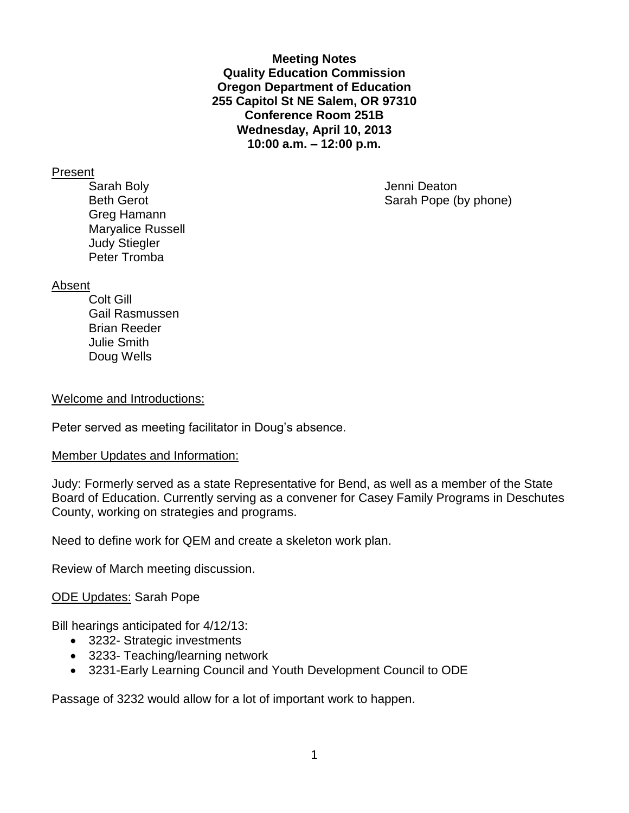**Meeting Notes Quality Education Commission Oregon Department of Education 255 Capitol St NE Salem, OR 97310 Conference Room 251B Wednesday, April 10, 2013 10:00 a.m. – 12:00 p.m.**

#### Present

Sarah Boly **Garah Boly Jenni Deaton** Greg Hamann Maryalice Russell Judy Stiegler Peter Tromba

Beth Gerot Sarah Pope (by phone)

#### Absent

Colt Gill Gail Rasmussen Brian Reeder Julie Smith Doug Wells

#### Welcome and Introductions:

Peter served as meeting facilitator in Doug's absence.

## Member Updates and Information:

Judy: Formerly served as a state Representative for Bend, as well as a member of the State Board of Education. Currently serving as a convener for Casey Family Programs in Deschutes County, working on strategies and programs.

Need to define work for QEM and create a skeleton work plan.

Review of March meeting discussion.

## ODE Updates: Sarah Pope

Bill hearings anticipated for 4/12/13:

- 3232- Strategic investments
- 3233- Teaching/learning network
- 3231-Early Learning Council and Youth Development Council to ODE

Passage of 3232 would allow for a lot of important work to happen.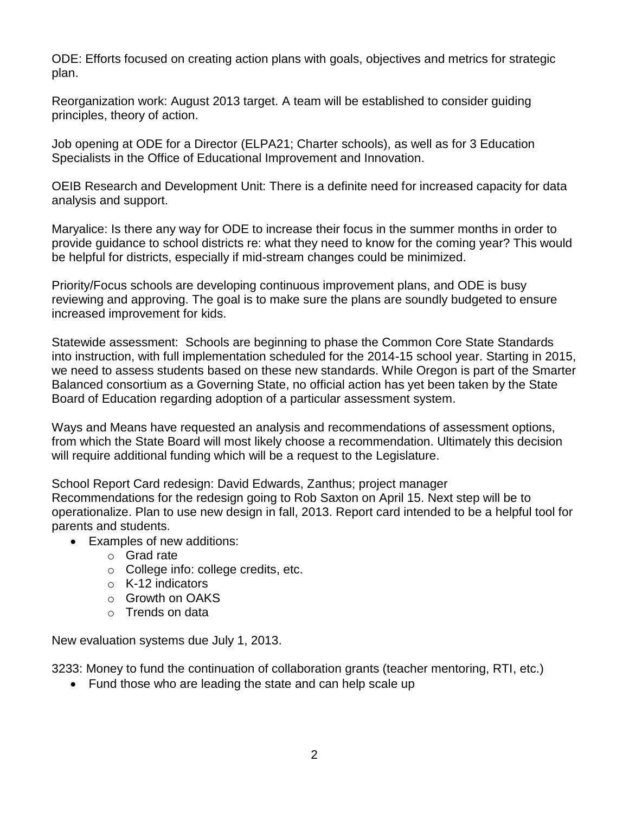ODE: Efforts focused on creating action plans with goals, objectives and metrics for strategic plan.

Reorganization work: August 2013 target. A team will be established to consider guiding principles, theory of action.

Job opening at ODE for a Director (ELPA21; Charter schools), as well as for 3 Education Specialists in the Office of Educational Improvement and Innovation.

OEIB Research and Development Unit: There is a definite need for increased capacity for data analysis and support.

Maryalice: Is there any way for ODE to increase their focus in the summer months in order to provide guidance to school districts re: what they need to know for the coming year? This would be helpful for districts, especially if mid-stream changes could be minimized.

Priority/Focus schools are developing continuous improvement plans, and ODE is busy reviewing and approving. The goal is to make sure the plans are soundly budgeted to ensure increased improvement for kids.

Statewide assessment: Schools are beginning to phase the Common Core State Standards into instruction, with full implementation scheduled for the 2014-15 school year. Starting in 2015, we need to assess students based on these new standards. While Oregon is part of the Smarter Balanced consortium as a Governing State, no official action has yet been taken by the State Board of Education regarding adoption of a particular assessment system.

Ways and Means have requested an analysis and recommendations of assessment options, from which the State Board will most likely choose a recommendation. Ultimately this decision will require additional funding which will be a request to the Legislature.

School Report Card redesign: David Edwards, Zanthus; project manager Recommendations for the redesign going to Rob Saxton on April 15. Next step will be to operationalize. Plan to use new design in fall, 2013. Report card intended to be a helpful tool for parents and students.

- Examples of new additions:
	- o Grad rate
	- o College info: college credits, etc.
	- o K-12 indicators
	- o Growth on OAKS
	- o Trends on data

New evaluation systems due July 1, 2013.

3233: Money to fund the continuation of collaboration grants (teacher mentoring, RTI, etc.)

• Fund those who are leading the state and can help scale up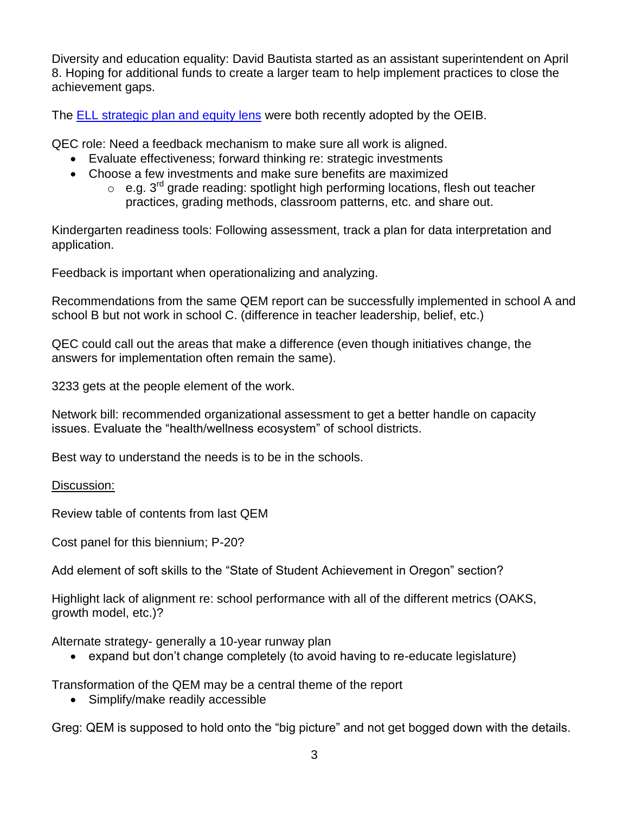Diversity and education equality: David Bautista started as an assistant superintendent on April 8. Hoping for additional funds to create a larger team to help implement practices to close the achievement gaps.

The [ELL strategic plan and equity lens](http://www.oregon.gov/gov/docs/OEIB/AprilOEIBMaterials.pdf) were both recently adopted by the OEIB.

QEC role: Need a feedback mechanism to make sure all work is aligned.

- Evaluate effectiveness; forward thinking re: strategic investments
- Choose a few investments and make sure benefits are maximized
	- $\circ$  e.g.  $3^{rd}$  grade reading: spotlight high performing locations, flesh out teacher practices, grading methods, classroom patterns, etc. and share out.

Kindergarten readiness tools: Following assessment, track a plan for data interpretation and application.

Feedback is important when operationalizing and analyzing.

Recommendations from the same QEM report can be successfully implemented in school A and school B but not work in school C. (difference in teacher leadership, belief, etc.)

QEC could call out the areas that make a difference (even though initiatives change, the answers for implementation often remain the same).

3233 gets at the people element of the work.

Network bill: recommended organizational assessment to get a better handle on capacity issues. Evaluate the "health/wellness ecosystem" of school districts.

Best way to understand the needs is to be in the schools.

## Discussion:

Review table of contents from last QEM

Cost panel for this biennium; P-20?

Add element of soft skills to the "State of Student Achievement in Oregon" section?

Highlight lack of alignment re: school performance with all of the different metrics (OAKS, growth model, etc.)?

Alternate strategy- generally a 10-year runway plan

expand but don't change completely (to avoid having to re-educate legislature)

Transformation of the QEM may be a central theme of the report

• Simplify/make readily accessible

Greg: QEM is supposed to hold onto the "big picture" and not get bogged down with the details.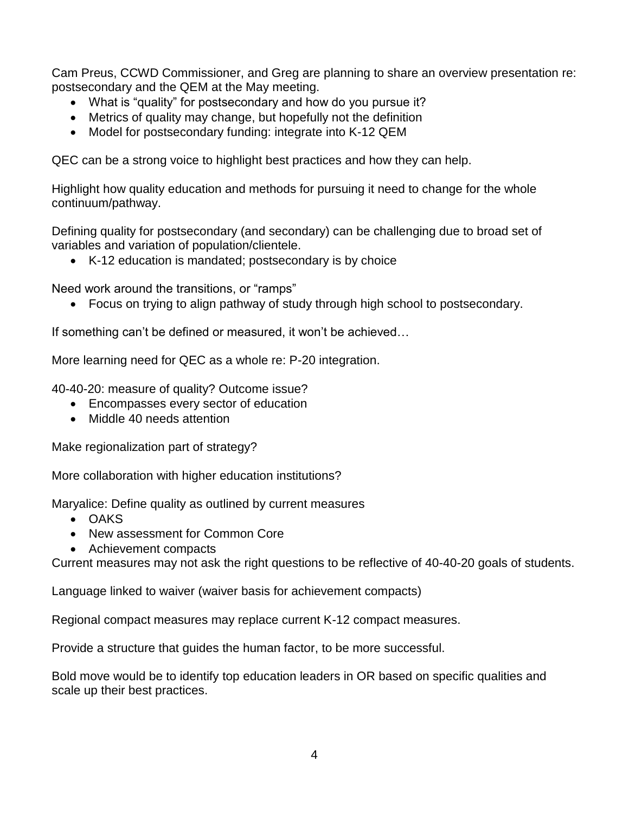Cam Preus, CCWD Commissioner, and Greg are planning to share an overview presentation re: postsecondary and the QEM at the May meeting.

- What is "quality" for postsecondary and how do you pursue it?
- Metrics of quality may change, but hopefully not the definition
- Model for postsecondary funding: integrate into K-12 QEM

QEC can be a strong voice to highlight best practices and how they can help.

Highlight how quality education and methods for pursuing it need to change for the whole continuum/pathway.

Defining quality for postsecondary (and secondary) can be challenging due to broad set of variables and variation of population/clientele.

K-12 education is mandated; postsecondary is by choice

Need work around the transitions, or "ramps"

Focus on trying to align pathway of study through high school to postsecondary.

If something can't be defined or measured, it won't be achieved…

More learning need for QEC as a whole re: P-20 integration.

40-40-20: measure of quality? Outcome issue?

- Encompasses every sector of education
- Middle 40 needs attention

Make regionalization part of strategy?

More collaboration with higher education institutions?

Maryalice: Define quality as outlined by current measures

- OAKS
- New assessment for Common Core
- Achievement compacts

Current measures may not ask the right questions to be reflective of 40-40-20 goals of students.

Language linked to waiver (waiver basis for achievement compacts)

Regional compact measures may replace current K-12 compact measures.

Provide a structure that guides the human factor, to be more successful.

Bold move would be to identify top education leaders in OR based on specific qualities and scale up their best practices.